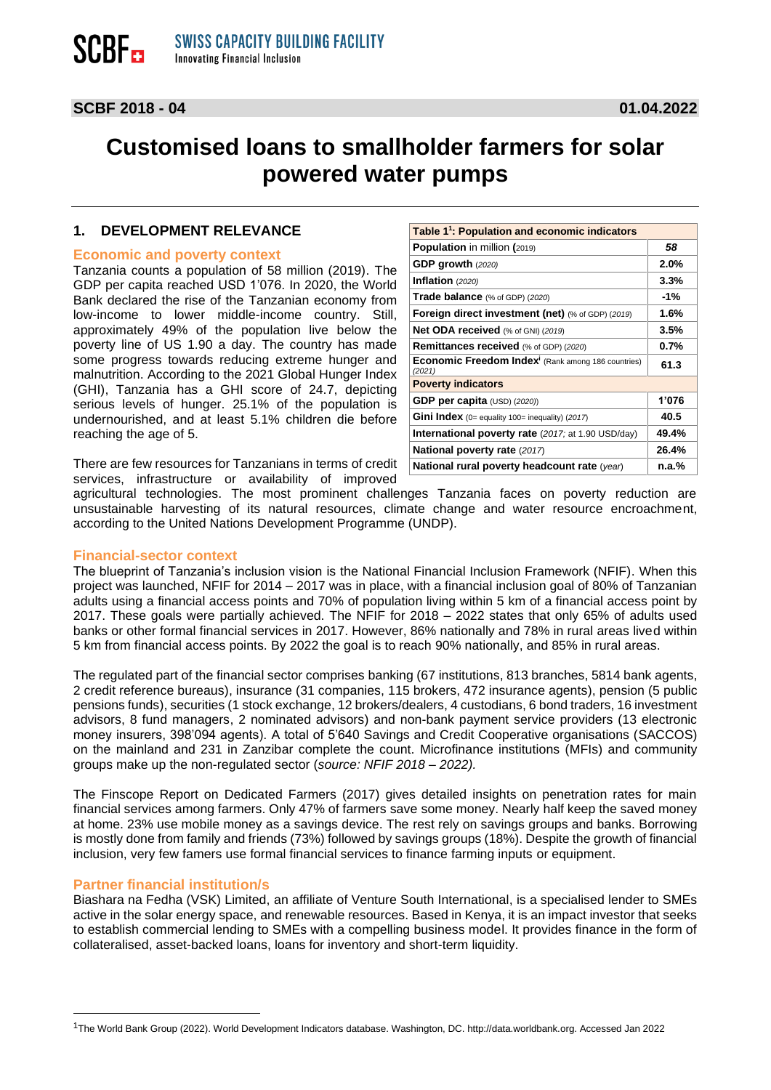## **Customised loans to smallholder farmers for solar powered water pumps**

#### **1. DEVELOPMENT RELEVANCE**

#### **Economic and poverty context**

Tanzania counts a population of 58 million (2019). The GDP per capita reached USD 1'076. In 2020, the World Bank declared the rise of the Tanzanian economy from low-income to lower middle-income country. Still, approximately 49% of the population live below the poverty line of US 1.90 a day. The country has made some progress towards reducing extreme hunger and malnutrition. According to the 2021 Global Hunger Index (GHI), Tanzania has a GHI score of 24.7, depicting serious levels of hunger. 25.1% of the population is undernourished, and at least 5.1% children die before reaching the age of 5.

| Table 1 <sup>1</sup> : Population and economic indicators                |         |
|--------------------------------------------------------------------------|---------|
| Population in million (2019)                                             | 58      |
| GDP growth (2020)                                                        | 2.0%    |
| Inflation (2020)                                                         | 3.3%    |
| Trade balance (% of GDP) (2020)                                          | $-1\%$  |
| Foreign direct investment (net) (% of GDP) (2019)                        | 1.6%    |
| Net ODA received (% of GNI) (2019)                                       | 3.5%    |
| Remittances received (% of GDP) (2020)                                   | $0.7\%$ |
| Economic Freedom Index <sup>i</sup> (Rank among 186 countries)<br>(2021) | 61.3    |
| <b>Poverty indicators</b>                                                |         |
| GDP per capita $(USD)$ $(2020)$                                          | 1'076   |
| Gini Index (0= equality 100= inequality) (2017)                          | 40.5    |
| <b>International poverty rate</b> (2017; at 1.90 USD/day)                | 49.4%   |
| National poverty rate (2017)                                             | 26.4%   |
| National rural poverty headcount rate (year)                             | n.a.%   |

There are few resources for Tanzanians in terms of credit services, infrastructure or availability of improved

agricultural technologies. The most prominent challenges Tanzania faces on poverty reduction are unsustainable harvesting of its natural resources, climate change and water resource encroachment, according to the United Nations Development Programme (UNDP).

#### **Financial-sector context**

The blueprint of Tanzania's inclusion vision is the National Financial Inclusion Framework (NFIF). When this project was launched, NFIF for 2014 – 2017 was in place, with a financial inclusion goal of 80% of Tanzanian adults using a financial access points and 70% of population living within 5 km of a financial access point by 2017. These goals were partially achieved. The NFIF for 2018 – 2022 states that only 65% of adults used banks or other formal financial services in 2017. However, 86% nationally and 78% in rural areas lived within 5 km from financial access points. By 2022 the goal is to reach 90% nationally, and 85% in rural areas.

The regulated part of the financial sector comprises banking (67 institutions, 813 branches, 5814 bank agents, 2 credit reference bureaus), insurance (31 companies, 115 brokers, 472 insurance agents), pension (5 public pensions funds), securities (1 stock exchange, 12 brokers/dealers, 4 custodians, 6 bond traders, 16 investment advisors, 8 fund managers, 2 nominated advisors) and non-bank payment service providers (13 electronic money insurers, 398'094 agents). A total of 5'640 Savings and Credit Cooperative organisations (SACCOS) on the mainland and 231 in Zanzibar complete the count. Microfinance institutions (MFIs) and community groups make up the non-regulated sector (*source: NFIF 2018 – 2022).*

The Finscope Report on Dedicated Farmers (2017) gives detailed insights on penetration rates for main financial services among farmers. Only 47% of farmers save some money. Nearly half keep the saved money at home. 23% use mobile money as a savings device. The rest rely on savings groups and banks. Borrowing is mostly done from family and friends (73%) followed by savings groups (18%). Despite the growth of financial inclusion, very few famers use formal financial services to finance farming inputs or equipment.

#### **Partner financial institution/s**

Biashara na Fedha (VSK) Limited, an affiliate of Venture South International, is a specialised lender to SMEs active in the solar energy space, and renewable resources. Based in Kenya, it is an impact investor that seeks to establish commercial lending to SMEs with a compelling business model. It provides finance in the form of collateralised, asset-backed loans, loans for inventory and short-term liquidity.

<sup>1</sup>The World Bank Group (2022). World Development Indicators database. Washington, DC. http://data.worldbank.org. Accessed Jan 2022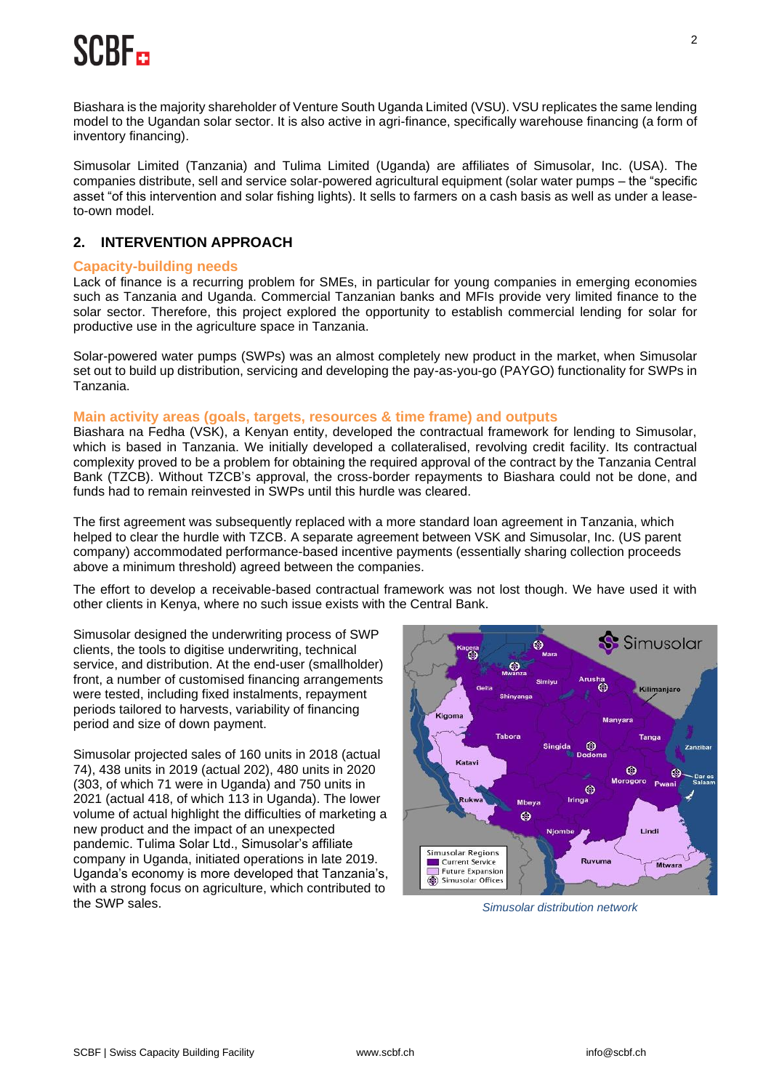## SCBF a

Biashara is the majority shareholder of Venture South Uganda Limited (VSU). VSU replicates the same lending model to the Ugandan solar sector. It is also active in agri-finance, specifically warehouse financing (a form of inventory financing).

Simusolar Limited (Tanzania) and Tulima Limited (Uganda) are affiliates of Simusolar, Inc. (USA). The companies distribute, sell and service solar-powered agricultural equipment (solar water pumps – the "specific asset "of this intervention and solar fishing lights). It sells to farmers on a cash basis as well as under a leaseto-own model.

## **2. INTERVENTION APPROACH**

### **Capacity-building needs**

Lack of finance is a recurring problem for SMEs, in particular for young companies in emerging economies such as Tanzania and Uganda. Commercial Tanzanian banks and MFIs provide very limited finance to the solar sector. Therefore, this project explored the opportunity to establish commercial lending for solar for productive use in the agriculture space in Tanzania.

Solar-powered water pumps (SWPs) was an almost completely new product in the market, when Simusolar set out to build up distribution, servicing and developing the pay-as-you-go (PAYGO) functionality for SWPs in Tanzania.

### **Main activity areas (goals, targets, resources & time frame) and outputs**

Biashara na Fedha (VSK), a Kenyan entity, developed the contractual framework for lending to Simusolar, which is based in Tanzania. We initially developed a collateralised, revolving credit facility. Its contractual complexity proved to be a problem for obtaining the required approval of the contract by the Tanzania Central Bank (TZCB). Without TZCB's approval, the cross-border repayments to Biashara could not be done, and funds had to remain reinvested in SWPs until this hurdle was cleared.

The first agreement was subsequently replaced with a more standard loan agreement in Tanzania, which helped to clear the hurdle with TZCB. A separate agreement between VSK and Simusolar, Inc. (US parent company) accommodated performance-based incentive payments (essentially sharing collection proceeds above a minimum threshold) agreed between the companies.

The effort to develop a receivable-based contractual framework was not lost though. We have used it with other clients in Kenya, where no such issue exists with the Central Bank.

Simusolar designed the underwriting process of SWP clients, the tools to digitise underwriting, technical service, and distribution. At the end-user (smallholder) front, a number of customised financing arrangements were tested, including fixed instalments, repayment periods tailored to harvests, variability of financing period and size of down payment.

Simusolar projected sales of 160 units in 2018 (actual 74), 438 units in 2019 (actual 202), 480 units in 2020 (303, of which 71 were in Uganda) and 750 units in 2021 (actual 418, of which 113 in Uganda). The lower volume of actual highlight the difficulties of marketing a new product and the impact of an unexpected pandemic. Tulima Solar Ltd., Simusolar's affiliate company in Uganda, initiated operations in late 2019. Uganda's economy is more developed that Tanzania's, with a strong focus on agriculture, which contributed to the SWP sales.



**Simusolar distribution network**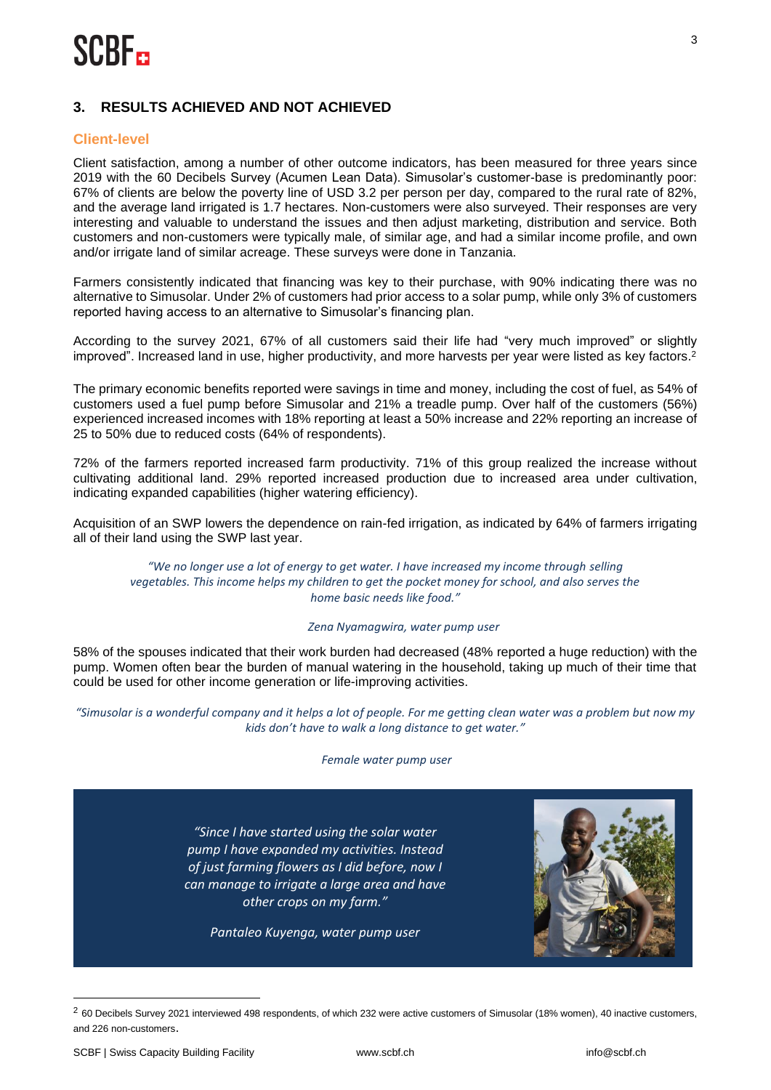## **3. RESULTS ACHIEVED AND NOT ACHIEVED**

## **Client-level**

Client satisfaction, among a number of other outcome indicators, has been measured for three years since 2019 with the 60 Decibels Survey (Acumen Lean Data). Simusolar's customer-base is predominantly poor: 67% of clients are below the poverty line of USD 3.2 per person per day, compared to the rural rate of 82%, and the average land irrigated is 1.7 hectares. Non-customers were also surveyed. Their responses are very interesting and valuable to understand the issues and then adjust marketing, distribution and service. Both customers and non-customers were typically male, of similar age, and had a similar income profile, and own and/or irrigate land of similar acreage. These surveys were done in Tanzania.

Farmers consistently indicated that financing was key to their purchase, with 90% indicating there was no alternative to Simusolar. Under 2% of customers had prior access to a solar pump, while only 3% of customers reported having access to an alternative to Simusolar's financing plan.

According to the survey 2021, 67% of all customers said their life had "very much improved" or slightly improved". Increased land in use, higher productivity, and more harvests per year were listed as key factors. 2

The primary economic benefits reported were savings in time and money, including the cost of fuel, as 54% of customers used a fuel pump before Simusolar and 21% a treadle pump. Over half of the customers (56%) experienced increased incomes with 18% reporting at least a 50% increase and 22% reporting an increase of 25 to 50% due to reduced costs (64% of respondents).

72% of the farmers reported increased farm productivity. 71% of this group realized the increase without cultivating additional land. 29% reported increased production due to increased area under cultivation, indicating expanded capabilities (higher watering efficiency).

Acquisition of an SWP lowers the dependence on rain-fed irrigation, as indicated by 64% of farmers irrigating all of their land using the SWP last year.

*"We no longer use a lot of energy to get water. I have increased my income through selling vegetables. This income helps my children to get the pocket money for school, and also serves the home basic needs like food."*

#### *Zena Nyamagwira, water pump user*

58% of the spouses indicated that their work burden had decreased (48% reported a huge reduction) with the pump. Women often bear the burden of manual watering in the household, taking up much of their time that could be used for other income generation or life-improving activities.

*"Simusolar is a wonderful company and it helps a lot of people. For me getting clean water was a problem but now my kids don't have to walk a long distance to get water."*

#### *Female water pump user*

*"Since I have started using the solar water pump I have expanded my activities. Instead of just farming flowers as I did before, now I can manage to irrigate a large area and have other crops on my farm."*

*Pantaleo Kuyenga, water pump user*



 $2$  60 Decibels Survey 2021 interviewed 498 respondents, of which 232 were active customers of Simusolar (18% women), 40 inactive customers, and 226 non-customers.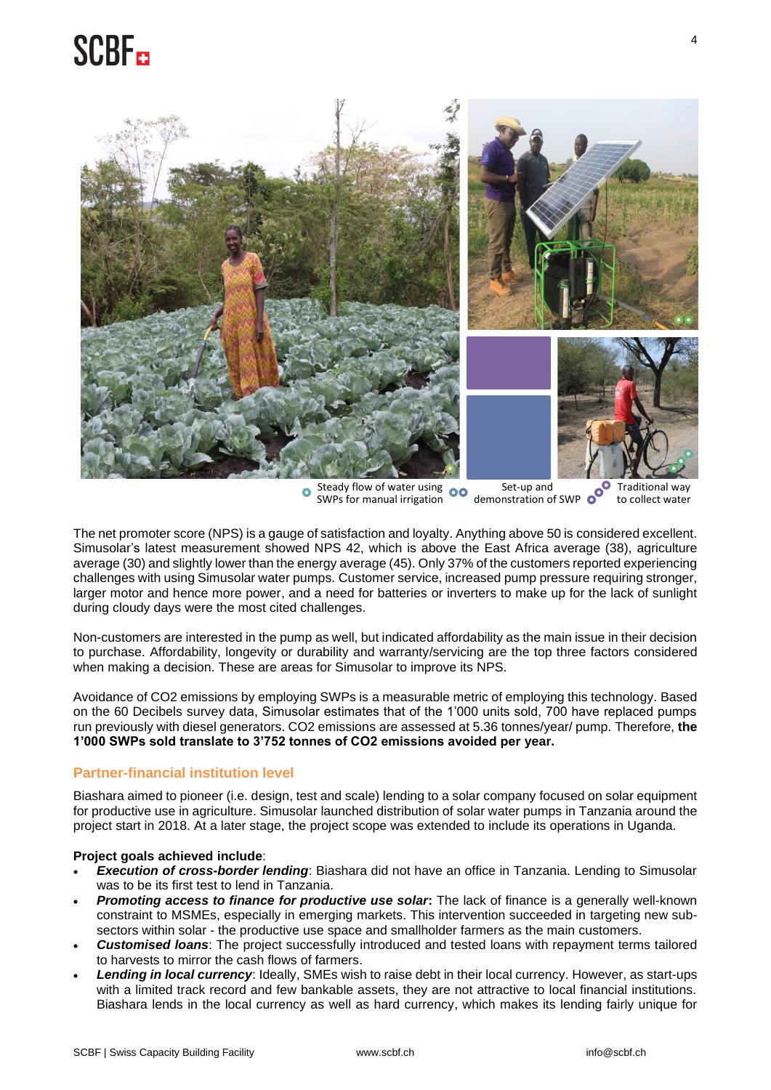## **SCBF**



Steady flow of water using 00  $\ddot{\mathbf{o}}$ SWPs for manual irrigation

Set-up and demonstration of SWP

Traditional way to collect water

The net promoter score (NPS) is a gauge of satisfaction and loyalty. Anything above 50 is considered excellent. Simusolar's latest measurement showed NPS 42, which is above the East Africa average (38), agriculture average (30) and slightly lower than the energy average (45). Only 37% of the customers reported experiencing challenges with using Simusolar water pumps. Customer service, increased pump pressure requiring stronger, larger motor and hence more power, and a need for batteries or inverters to make up for the lack of sunlight during cloudy days were the most cited challenges.

Non-customers are interested in the pump as well, but indicated affordability as the main issue in their decision to purchase. Affordability, longevity or durability and warranty/servicing are the top three factors considered when making a decision. These are areas for Simusolar to improve its NPS.

Avoidance of CO2 emissions by employing SWPs is a measurable metric of employing this technology. Based on the 60 Decibels survey data, Simusolar estimates that of the 1'000 units sold, 700 have replaced pumps run previously with diesel generators. CO2 emissions are assessed at 5.36 tonnes/year/ pump. Therefore, **the 1'000 SWPs sold translate to 3'752 tonnes of CO2 emissions avoided per year.** 

## **Partner-financial institution level**

Biashara aimed to pioneer (i.e. design, test and scale) lending to a solar company focused on solar equipment for productive use in agriculture. Simusolar launched distribution of solar water pumps in Tanzania around the project start in 2018. At a later stage, the project scope was extended to include its operations in Uganda.

### **Project goals achieved include**:

- *Execution of cross-border lending*: Biashara did not have an office in Tanzania. Lending to Simusolar was to be its first test to lend in Tanzania.
- *Promoting access to finance for productive use solar***:** The lack of finance is a generally well-known constraint to MSMEs, especially in emerging markets. This intervention succeeded in targeting new subsectors within solar - the productive use space and smallholder farmers as the main customers.
- *Customised loans*: The project successfully introduced and tested loans with repayment terms tailored to harvests to mirror the cash flows of farmers.
- *Lending in local currency*: Ideally, SMEs wish to raise debt in their local currency. However, as start-ups with a limited track record and few bankable assets, they are not attractive to local financial institutions. Biashara lends in the local currency as well as hard currency, which makes its lending fairly unique for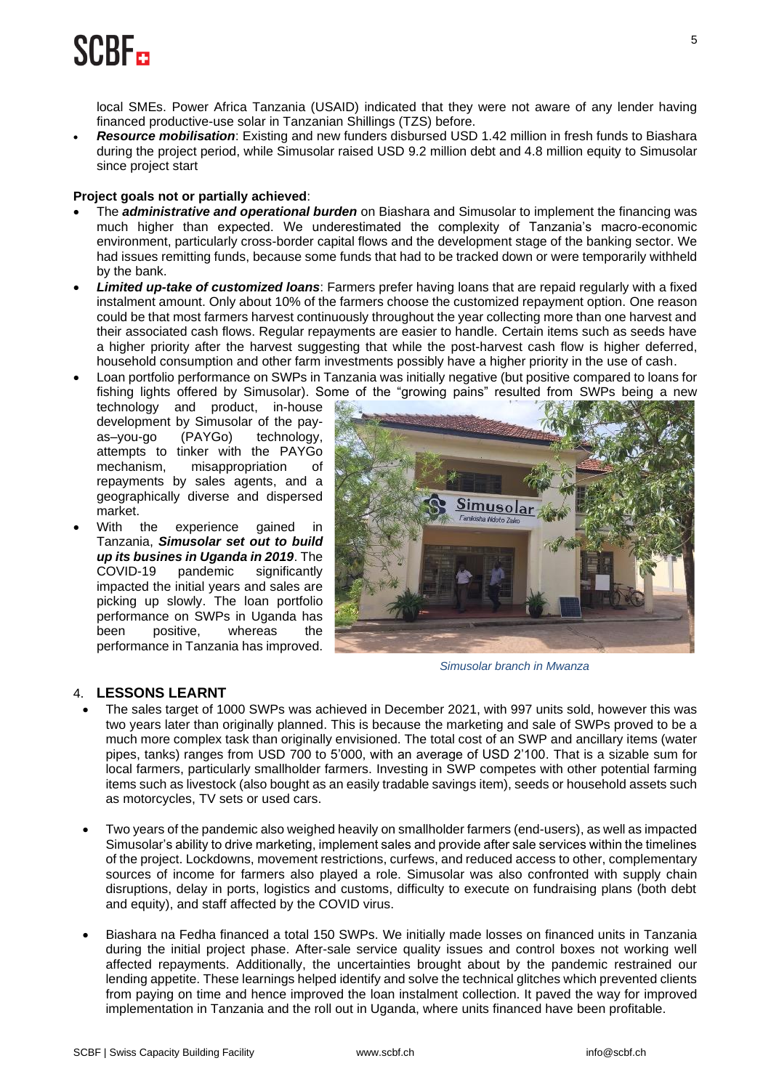## **SCBF::**

local SMEs. Power Africa Tanzania (USAID) indicated that they were not aware of any lender having financed productive-use solar in Tanzanian Shillings (TZS) before.

• *Resource mobilisation*: Existing and new funders disbursed USD 1.42 million in fresh funds to Biashara during the project period, while Simusolar raised USD 9.2 million debt and 4.8 million equity to Simusolar since project start

### **Project goals not or partially achieved**:

- The *administrative and operational burden* on Biashara and Simusolar to implement the financing was much higher than expected. We underestimated the complexity of Tanzania's macro-economic environment, particularly cross-border capital flows and the development stage of the banking sector. We had issues remitting funds, because some funds that had to be tracked down or were temporarily withheld by the bank.
- *Limited up-take of customized loans*: Farmers prefer having loans that are repaid regularly with a fixed instalment amount. Only about 10% of the farmers choose the customized repayment option. One reason could be that most farmers harvest continuously throughout the year collecting more than one harvest and their associated cash flows. Regular repayments are easier to handle. Certain items such as seeds have a higher priority after the harvest suggesting that while the post-harvest cash flow is higher deferred, household consumption and other farm investments possibly have a higher priority in the use of cash.
- Loan portfolio performance on SWPs in Tanzania was initially negative (but positive compared to loans for fishing lights offered by Simusolar). Some of the "growing pains" resulted from SWPs being a new

technology and product, in-house development by Simusolar of the payas–you-go (PAYGo) technology, attempts to tinker with the PAYGo mechanism, misappropriation of repayments by sales agents, and a geographically diverse and dispersed market.

With the experience gained in Tanzania, *Simusolar set out to build up its busines in Uganda in 2019*. The COVID-19 pandemic significantly impacted the initial years and sales are picking up slowly. The loan portfolio performance on SWPs in Uganda has been positive, whereas the performance in Tanzania has improved.



*Simusolar branch in Mwanza*

## 4. **LESSONS LEARNT**

- The sales target of 1000 SWPs was achieved in December 2021, with 997 units sold, however this was two years later than originally planned. This is because the marketing and sale of SWPs proved to be a much more complex task than originally envisioned. The total cost of an SWP and ancillary items (water pipes, tanks) ranges from USD 700 to 5'000, with an average of USD 2'100. That is a sizable sum for local farmers, particularly smallholder farmers. Investing in SWP competes with other potential farming items such as livestock (also bought as an easily tradable savings item), seeds or household assets such as motorcycles, TV sets or used cars.
- Two years of the pandemic also weighed heavily on smallholder farmers (end-users), as well as impacted Simusolar's ability to drive marketing, implement sales and provide after sale services within the timelines of the project. Lockdowns, movement restrictions, curfews, and reduced access to other, complementary sources of income for farmers also played a role. Simusolar was also confronted with supply chain disruptions, delay in ports, logistics and customs, difficulty to execute on fundraising plans (both debt and equity), and staff affected by the COVID virus.
- Biashara na Fedha financed a total 150 SWPs. We initially made losses on financed units in Tanzania during the initial project phase. After-sale service quality issues and control boxes not working well affected repayments. Additionally, the uncertainties brought about by the pandemic restrained our lending appetite. These learnings helped identify and solve the technical glitches which prevented clients from paying on time and hence improved the loan instalment collection. It paved the way for improved implementation in Tanzania and the roll out in Uganda, where units financed have been profitable.